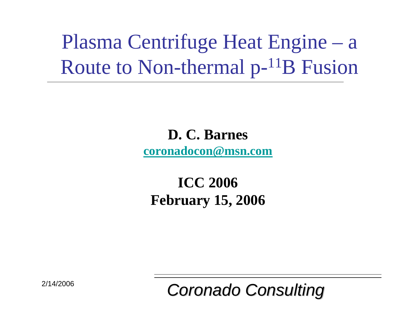Plasma Centrifuge Heat Engine – a Route to Non-thermal  $p^{-11}B$  Fusion

> **D. C. Barnes [coronadocon@msn.com](mailto:coronadocon@msn.com)**

#### **ICC 2006 February 15, 2006**

*Coronado Consulting Coronado Consulting*

2/14/2006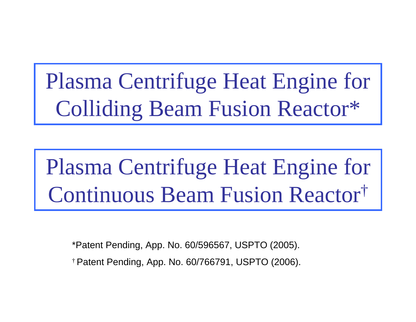Plasma Centrifuge Heat Engine for Colliding Beam Fusion Reactor\*

# Plasma Centrifuge Heat Engine for Continuous Beam Fusion Reactor †

\*Patent Pending, App. No. 60/596567, USPTO (2005). †Patent Pending, App. No. 60/766791, USPTO (2006).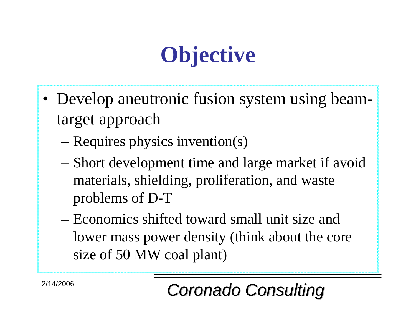# **Objective**

- Develop aneutronic fusion system using beamtarget approach
	- Requires physics invention(s)
	- Short development time and large market if avoid materials, shielding, proliferation, and waste problems of D-T
	- Economics shifted toward small unit size and lower mass power density (think about the core size of 50 MW coal plant)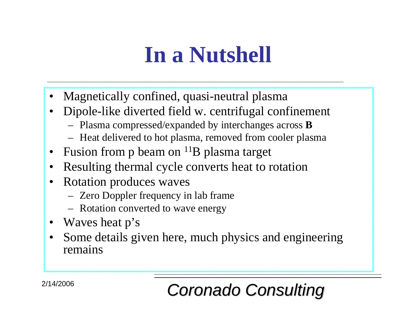# **In a Nutshell**

- •Magnetically confined, quasi-neutral plasma
- •Dipole-like diverted field w. centrifugal confinement
	- Plasma compressed/expanded by interchanges across **B**
	- Heat delivered to hot plasma, removed from cooler plasma
- •Fusion from p beam on <sup>11</sup>B plasma target
- •Resulting thermal cycle converts heat to rotation
- •Rotation produces waves
	- Zero Doppler frequency in lab frame
	- Rotation converted to wave energy
- Waves heat p's
- •Some details given here, much physics and engineering remains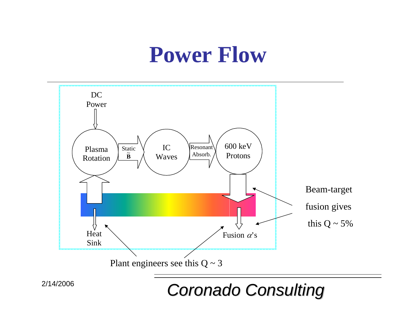### **Power Flow**



*Coronado Consulting Coronado Consulting*

2/14/2006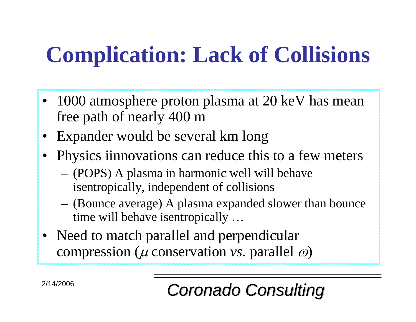# **Complication: Lack of Collisions**

- 1000 atmosphere proton plasma at 20 keV has mean free path of nearly 400 m
- Expander would be several km long
- Physics iinnovations can reduce this to a few meters
	- (POPS) A plasma in harmonic well will behave isentropically, independent of collisions
	- (Bounce average) A plasma expanded slower than bounce time will behave isentropically …
- Need to match parallel and perpendicular compression ( µ conservation *vs.* parallel ω)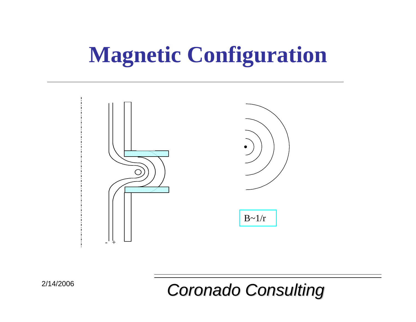# **Magnetic Configuration**

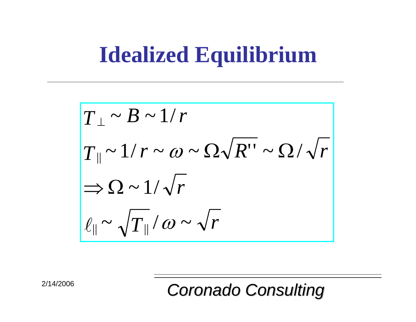# **Idealized Equilibrium**

$$
T_{\perp} \sim B \sim 1/r
$$
  
\n
$$
T_{\parallel} \sim 1/r \sim \omega \sim \Omega \sqrt{R''} \sim \Omega / \sqrt{r}
$$
  
\n
$$
\Rightarrow \Omega \sim 1/\sqrt{r}
$$
  
\n
$$
\ell_{\parallel} \sim \sqrt{T_{\parallel}}/\omega \sim \sqrt{r}
$$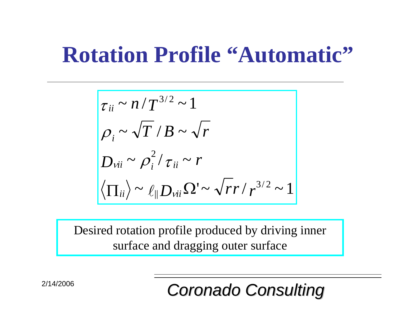### **Rotation Profile "Automatic"**

$$
\begin{vmatrix}\n\tau_{ii} \sim n/T^{3/2} \sim 1 \\
\rho_i \sim \sqrt{T}/B \sim \sqrt{r} \\
D_{vii} \sim \rho_i^2/\tau_{ii} \sim r \\
\langle \Pi_{ii} \rangle \sim \ell_{||} D_{vii} \Omega' \sim \sqrt{r}r/r^{3/2} \sim 1\n\end{vmatrix}
$$

Desired rotation profile produced by driving inner surface and dragging outer surface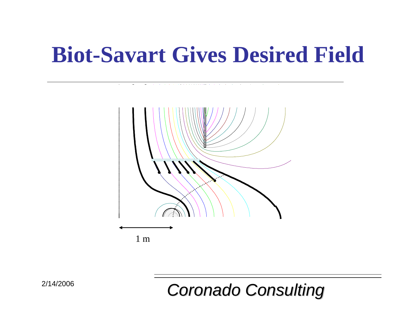### **Biot-Savart Gives Desired Field**

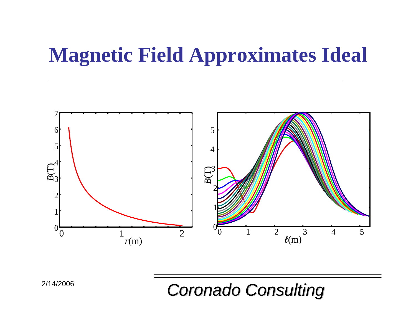### **Magnetic Field Approximates Ideal**

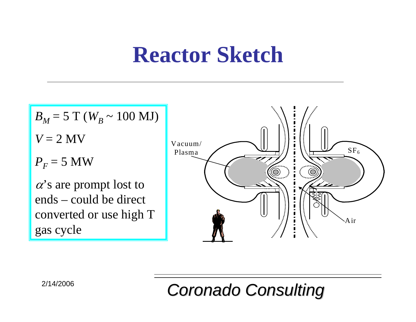## **Reactor Sketch**

$$
B_M = 5 \text{ T} (W_B \sim 100 \text{ MJ})
$$

 $V = 2$  MV

 $P_F^{}$  = 5 MW

 $\alpha$ 's are prompt lost to ends – could be direct converted or use high T gas cycle

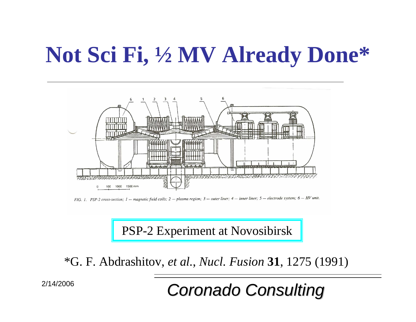# **Not Sci Fi, ½ MV Already Done\***



FIG. 1. PSP-2 cross-section; 1 - magnetic field coils; 2 - plasma region; 3 - outer liner; 4 - inner liner; 5 - electrode system; 6 - HV unit.

PSP-2 Experiment at Novosibirsk

\*G. F. Abdrashitov, *et al.*, *Nucl. Fusion* **31**, 1275 (1991)

*Coronado Consulting Coronado Consulting*

2/14/2006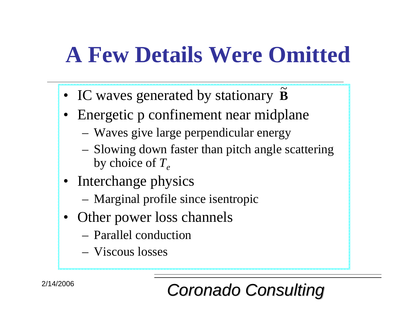# **A Few Details Were Omitted**

- IC waves generated by stationary **B** ~
- Energetic p confinement near midplane
	- Waves give large perpendicular energy
	- Slowing down faster than pitch angle scattering by choice of *Te*
- Interchange physics
	- Marginal profile since isentropic
- Other power loss channels
	- –Parallel conduction
	- –Viscous losses